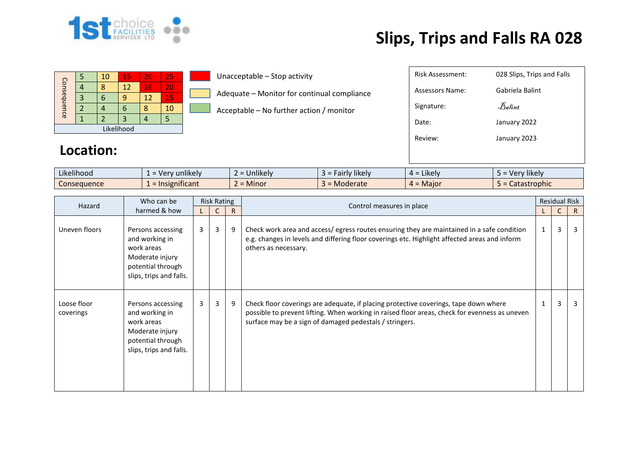

## **Slips, Trips and Falls RA 028**

| Consequence |  | 10 | 15 | 20 | 25 |  |  |  |
|-------------|--|----|----|----|----|--|--|--|
|             |  |    | 12 | 16 | 20 |  |  |  |
|             |  |    |    | 12 | 15 |  |  |  |
|             |  |    |    |    | 10 |  |  |  |
|             |  |    |    |    |    |  |  |  |
| Likelihood  |  |    |    |    |    |  |  |  |

Unacceptable – Stop activity

Adequate – Monitor for continual compliance

Acceptable – No further action / monitor

| <b>Risk Assessment:</b> | 028 Slips, Trips and Falls |
|-------------------------|----------------------------|
| Assessors Name:         | Gabriela Balint            |
| Signature:              | Balint                     |
| Date:                   | January 2022               |
| Review:                 | January 2023               |
|                         |                            |

## **Location:**

| Likelihood  | unlikely<br>- ver<br>$\overline{\phantom{0}}$ | $\cdots$<br>Unlikely | $\cdots$<br><b>Hikely</b><br>$\sim$<br>all IV | $\cdot$ .<br>Likely<br>ட - | $\cdots$<br>Very likely<br><u>_</u> |
|-------------|-----------------------------------------------|----------------------|-----------------------------------------------|----------------------------|-------------------------------------|
| Consequence | $\cdot$ $\cdot$ $\cdot$<br>mificant<br>1215   | Minor                | <b>Moderate</b>                               | = Maior<br>$\mu =$         | astrophic<br>calast                 |

| Who can be<br>Hazard     | <b>Risk Rating</b>                                                                                                   |                |   |              | <b>Residual Risk</b>                                                                                                                                                                                                                             |              |                |              |
|--------------------------|----------------------------------------------------------------------------------------------------------------------|----------------|---|--------------|--------------------------------------------------------------------------------------------------------------------------------------------------------------------------------------------------------------------------------------------------|--------------|----------------|--------------|
| harmed & how             |                                                                                                                      |                |   | $\mathsf{R}$ | Control measures in place                                                                                                                                                                                                                        |              |                | $\mathsf{R}$ |
| Uneven floors            | Persons accessing<br>and working in<br>work areas<br>Moderate injury<br>potential through<br>slips, trips and falls. | $\overline{3}$ | 3 | 9            | Check work area and access/egress routes ensuring they are maintained in a safe condition<br>e.g. changes in levels and differing floor coverings etc. Highlight affected areas and inform<br>others as necessary.                               | 1            | 3              | 3            |
| Loose floor<br>coverings | Persons accessing<br>and working in<br>work areas<br>Moderate injury<br>potential through<br>slips, trips and falls. | $\mathbf{3}$   | 3 | 9            | Check floor coverings are adequate, if placing protective coverings, tape down where<br>possible to prevent lifting. When working in raised floor areas, check for evenness as uneven<br>surface may be a sign of damaged pedestals / stringers. | $\mathbf{1}$ | $\overline{3}$ | 3            |